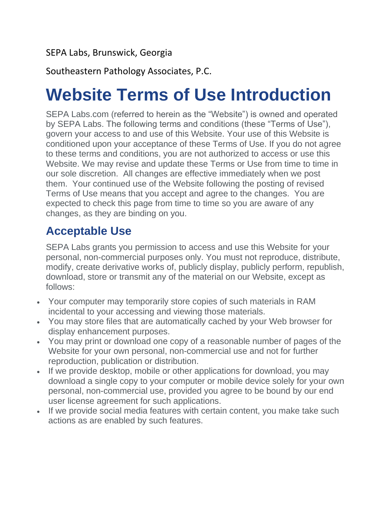#### SEPA Labs, Brunswick, Georgia

Southeastern Pathology Associates, P.C.

## **Website Terms of Use Introduction**

SEPA Labs.com (referred to herein as the "Website") is owned and operated by SEPA Labs. The following terms and conditions (these "Terms of Use"), govern your access to and use of this Website. Your use of this Website is conditioned upon your acceptance of these Terms of Use. If you do not agree to these terms and conditions, you are not authorized to access or use this Website. We may revise and update these Terms or Use from time to time in our sole discretion. All changes are effective immediately when we post them. Your continued use of the Website following the posting of revised Terms of Use means that you accept and agree to the changes. You are expected to check this page from time to time so you are aware of any changes, as they are binding on you.

## **Acceptable Use**

SEPA Labs grants you permission to access and use this Website for your personal, non-commercial purposes only. You must not reproduce, distribute, modify, create derivative works of, publicly display, publicly perform, republish, download, store or transmit any of the material on our Website, except as follows:

- Your computer may temporarily store copies of such materials in RAM incidental to your accessing and viewing those materials.
- You may store files that are automatically cached by your Web browser for display enhancement purposes.
- You may print or download one copy of a reasonable number of pages of the Website for your own personal, non-commercial use and not for further reproduction, publication or distribution.
- If we provide desktop, mobile or other applications for download, you may download a single copy to your computer or mobile device solely for your own personal, non-commercial use, provided you agree to be bound by our end user license agreement for such applications.
- If we provide social media features with certain content, you make take such actions as are enabled by such features.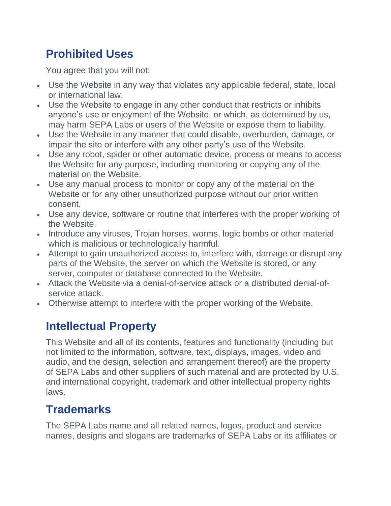## **Prohibited Uses**

You agree that you will not:

- Use the Website in any way that violates any applicable federal, state, local or international law.
- Use the Website to engage in any other conduct that restricts or inhibits anyone's use or enjoyment of the Website, or which, as determined by us, may harm SEPA Labs or users of the Website or expose them to liability.
- Use the Website in any manner that could disable, overburden, damage, or impair the site or interfere with any other party's use of the Website.
- Use any robot, spider or other automatic device, process or means to access the Website for any purpose, including monitoring or copying any of the material on the Website.
- Use any manual process to monitor or copy any of the material on the Website or for any other unauthorized purpose without our prior written consent.
- Use any device, software or routine that interferes with the proper working of the Website.
- Introduce any viruses, Trojan horses, worms, logic bombs or other material which is malicious or technologically harmful.
- Attempt to gain unauthorized access to, interfere with, damage or disrupt any parts of the Website, the server on which the Website is stored, or any server, computer or database connected to the Website.
- Attack the Website via a denial-of-service attack or a distributed denial-ofservice attack.
- Otherwise attempt to interfere with the proper working of the Website.

## **Intellectual Property**

This Website and all of its contents, features and functionality (including but not limited to the information, software, text, displays, images, video and audio, and the design, selection and arrangement thereof) are the property of SEPA Labs and other suppliers of such material and are protected by U.S. and international copyright, trademark and other intellectual property rights laws.

## **Trademarks**

The SEPA Labs name and all related names, logos, product and service names, designs and slogans are trademarks of SEPA Labs or its affiliates or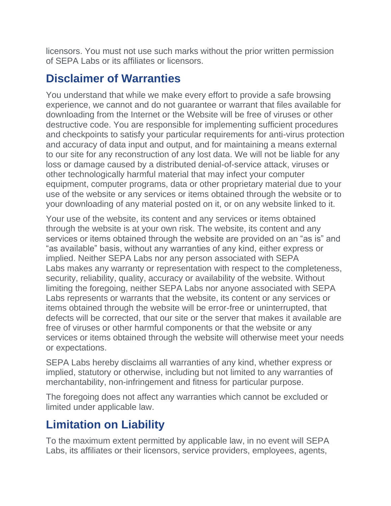licensors. You must not use such marks without the prior written permission of SEPA Labs or its affiliates or licensors.

## **Disclaimer of Warranties**

You understand that while we make every effort to provide a safe browsing experience, we cannot and do not guarantee or warrant that files available for downloading from the Internet or the Website will be free of viruses or other destructive code. You are responsible for implementing sufficient procedures and checkpoints to satisfy your particular requirements for anti-virus protection and accuracy of data input and output, and for maintaining a means external to our site for any reconstruction of any lost data. We will not be liable for any loss or damage caused by a distributed denial-of-service attack, viruses or other technologically harmful material that may infect your computer equipment, computer programs, data or other proprietary material due to your use of the website or any services or items obtained through the website or to your downloading of any material posted on it, or on any website linked to it.

Your use of the website, its content and any services or items obtained through the website is at your own risk. The website, its content and any services or items obtained through the website are provided on an "as is" and "as available" basis, without any warranties of any kind, either express or implied. Neither SEPA Labs nor any person associated with SEPA Labs makes any warranty or representation with respect to the completeness, security, reliability, quality, accuracy or availability of the website. Without limiting the foregoing, neither SEPA Labs nor anyone associated with SEPA Labs represents or warrants that the website, its content or any services or items obtained through the website will be error-free or uninterrupted, that defects will be corrected, that our site or the server that makes it available are free of viruses or other harmful components or that the website or any services or items obtained through the website will otherwise meet your needs or expectations.

SEPA Labs hereby disclaims all warranties of any kind, whether express or implied, statutory or otherwise, including but not limited to any warranties of merchantability, non-infringement and fitness for particular purpose.

The foregoing does not affect any warranties which cannot be excluded or limited under applicable law.

## **Limitation on Liability**

To the maximum extent permitted by applicable law, in no event will SEPA Labs, its affiliates or their licensors, service providers, employees, agents,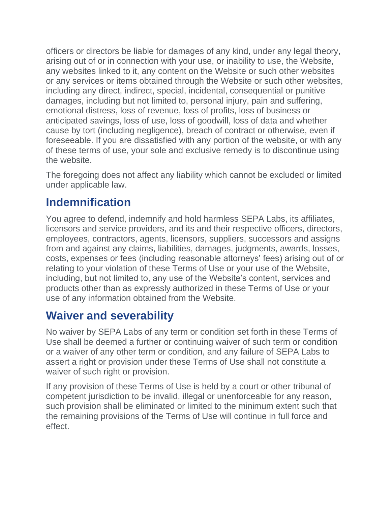officers or directors be liable for damages of any kind, under any legal theory, arising out of or in connection with your use, or inability to use, the Website, any websites linked to it, any content on the Website or such other websites or any services or items obtained through the Website or such other websites, including any direct, indirect, special, incidental, consequential or punitive damages, including but not limited to, personal injury, pain and suffering, emotional distress, loss of revenue, loss of profits, loss of business or anticipated savings, loss of use, loss of goodwill, loss of data and whether cause by tort (including negligence), breach of contract or otherwise, even if foreseeable. If you are dissatisfied with any portion of the website, or with any of these terms of use, your sole and exclusive remedy is to discontinue using the website.

The foregoing does not affect any liability which cannot be excluded or limited under applicable law.

#### **Indemnification**

You agree to defend, indemnify and hold harmless SEPA Labs, its affiliates, licensors and service providers, and its and their respective officers, directors, employees, contractors, agents, licensors, suppliers, successors and assigns from and against any claims, liabilities, damages, judgments, awards, losses, costs, expenses or fees (including reasonable attorneys' fees) arising out of or relating to your violation of these Terms of Use or your use of the Website, including, but not limited to, any use of the Website's content, services and products other than as expressly authorized in these Terms of Use or your use of any information obtained from the Website.

#### **Waiver and severability**

No waiver by SEPA Labs of any term or condition set forth in these Terms of Use shall be deemed a further or continuing waiver of such term or condition or a waiver of any other term or condition, and any failure of SEPA Labs to assert a right or provision under these Terms of Use shall not constitute a waiver of such right or provision.

If any provision of these Terms of Use is held by a court or other tribunal of competent jurisdiction to be invalid, illegal or unenforceable for any reason, such provision shall be eliminated or limited to the minimum extent such that the remaining provisions of the Terms of Use will continue in full force and effect.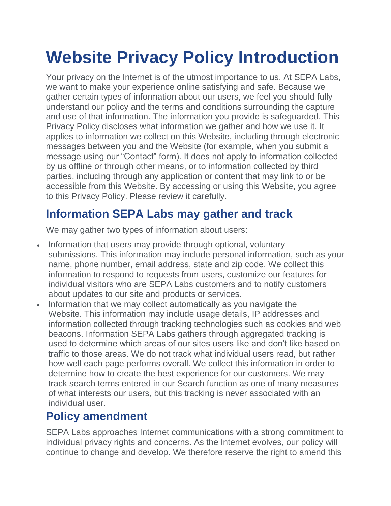# **Website Privacy Policy Introduction**

Your privacy on the Internet is of the utmost importance to us. At SEPA Labs, we want to make your experience online satisfying and safe. Because we gather certain types of information about our users, we feel you should fully understand our policy and the terms and conditions surrounding the capture and use of that information. The information you provide is safeguarded. This Privacy Policy discloses what information we gather and how we use it. It applies to information we collect on this Website, including through electronic messages between you and the Website (for example, when you submit a message using our "Contact" form). It does not apply to information collected by us offline or through other means, or to information collected by third parties, including through any application or content that may link to or be accessible from this Website. By accessing or using this Website, you agree to this Privacy Policy. Please review it carefully.

## **Information SEPA Labs may gather and track**

We may gather two types of information about users:

- Information that users may provide through optional, voluntary submissions. This information may include personal information, such as your name, phone number, email address, state and zip code. We collect this information to respond to requests from users, customize our features for individual visitors who are SEPA Labs customers and to notify customers about updates to our site and products or services.
- Information that we may collect automatically as you navigate the Website. This information may include usage details, IP addresses and information collected through tracking technologies such as cookies and web beacons. Information SEPA Labs gathers through aggregated tracking is used to determine which areas of our sites users like and don't like based on traffic to those areas. We do not track what individual users read, but rather how well each page performs overall. We collect this information in order to determine how to create the best experience for our customers. We may track search terms entered in our Search function as one of many measures of what interests our users, but this tracking is never associated with an individual user.

#### **Policy amendment**

SEPA Labs approaches Internet communications with a strong commitment to individual privacy rights and concerns. As the Internet evolves, our policy will continue to change and develop. We therefore reserve the right to amend this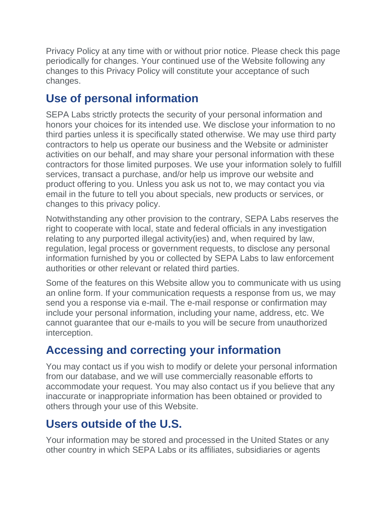Privacy Policy at any time with or without prior notice. Please check this page periodically for changes. Your continued use of the Website following any changes to this Privacy Policy will constitute your acceptance of such changes.

## **Use of personal information**

SEPA Labs strictly protects the security of your personal information and honors your choices for its intended use. We disclose your information to no third parties unless it is specifically stated otherwise. We may use third party contractors to help us operate our business and the Website or administer activities on our behalf, and may share your personal information with these contractors for those limited purposes. We use your information solely to fulfill services, transact a purchase, and/or help us improve our website and product offering to you. Unless you ask us not to, we may contact you via email in the future to tell you about specials, new products or services, or changes to this privacy policy.

Notwithstanding any other provision to the contrary, SEPA Labs reserves the right to cooperate with local, state and federal officials in any investigation relating to any purported illegal activity(ies) and, when required by law, regulation, legal process or government requests, to disclose any personal information furnished by you or collected by SEPA Labs to law enforcement authorities or other relevant or related third parties.

Some of the features on this Website allow you to communicate with us using an online form. If your communication requests a response from us, we may send you a response via e-mail. The e-mail response or confirmation may include your personal information, including your name, address, etc. We cannot guarantee that our e-mails to you will be secure from unauthorized interception.

## **Accessing and correcting your information**

You may contact us if you wish to modify or delete your personal information from our database, and we will use commercially reasonable efforts to accommodate your request. You may also contact us if you believe that any inaccurate or inappropriate information has been obtained or provided to others through your use of this Website.

## **Users outside of the U.S.**

Your information may be stored and processed in the United States or any other country in which SEPA Labs or its affiliates, subsidiaries or agents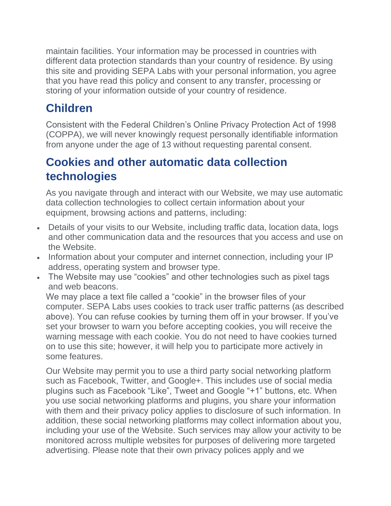maintain facilities. Your information may be processed in countries with different data protection standards than your country of residence. By using this site and providing SEPA Labs with your personal information, you agree that you have read this policy and consent to any transfer, processing or storing of your information outside of your country of residence.

## **Children**

Consistent with the Federal Children's Online Privacy Protection Act of 1998 (COPPA), we will never knowingly request personally identifiable information from anyone under the age of 13 without requesting parental consent.

## **Cookies and other automatic data collection technologies**

As you navigate through and interact with our Website, we may use automatic data collection technologies to collect certain information about your equipment, browsing actions and patterns, including:

- Details of your visits to our Website, including traffic data, location data, logs and other communication data and the resources that you access and use on the Website.
- Information about your computer and internet connection, including your IP address, operating system and browser type.
- The Website may use "cookies" and other technologies such as pixel tags and web beacons.

We may place a text file called a "cookie" in the browser files of your computer. SEPA Labs uses cookies to track user traffic patterns (as described above). You can refuse cookies by turning them off in your browser. If you've set your browser to warn you before accepting cookies, you will receive the warning message with each cookie. You do not need to have cookies turned on to use this site; however, it will help you to participate more actively in some features.

Our Website may permit you to use a third party social networking platform such as Facebook, Twitter, and Google+. This includes use of social media plugins such as Facebook "Like", Tweet and Google "+1" buttons, etc. When you use social networking platforms and plugins, you share your information with them and their privacy policy applies to disclosure of such information. In addition, these social networking platforms may collect information about you, including your use of the Website. Such services may allow your activity to be monitored across multiple websites for purposes of delivering more targeted advertising. Please note that their own privacy polices apply and we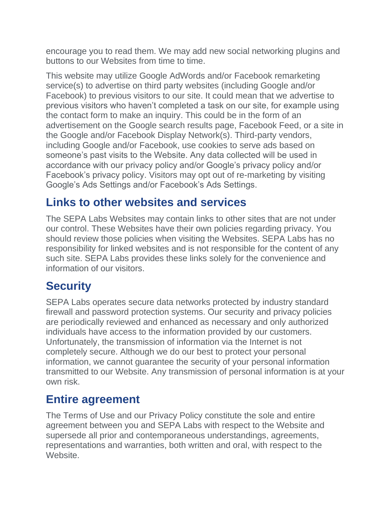encourage you to read them. We may add new social networking plugins and buttons to our Websites from time to time.

This website may utilize Google AdWords and/or Facebook remarketing service(s) to advertise on third party websites (including Google and/or Facebook) to previous visitors to our site. It could mean that we advertise to previous visitors who haven't completed a task on our site, for example using the contact form to make an inquiry. This could be in the form of an advertisement on the Google search results page, Facebook Feed, or a site in the Google and/or Facebook Display Network(s). Third-party vendors, including Google and/or Facebook, use cookies to serve ads based on someone's past visits to the Website. Any data collected will be used in accordance with our privacy policy and/or Google's privacy policy and/or Facebook's privacy policy. Visitors may opt out of re-marketing by visiting Google's Ads Settings and/or Facebook's Ads Settings.

## **Links to other websites and services**

The SEPA Labs Websites may contain links to other sites that are not under our control. These Websites have their own policies regarding privacy. You should review those policies when visiting the Websites. SEPA Labs has no responsibility for linked websites and is not responsible for the content of any such site. SEPA Labs provides these links solely for the convenience and information of our visitors.

## **Security**

SEPA Labs operates secure data networks protected by industry standard firewall and password protection systems. Our security and privacy policies are periodically reviewed and enhanced as necessary and only authorized individuals have access to the information provided by our customers. Unfortunately, the transmission of information via the Internet is not completely secure. Although we do our best to protect your personal information, we cannot guarantee the security of your personal information transmitted to our Website. Any transmission of personal information is at your own risk.

#### **Entire agreement**

The Terms of Use and our Privacy Policy constitute the sole and entire agreement between you and SEPA Labs with respect to the Website and supersede all prior and contemporaneous understandings, agreements, representations and warranties, both written and oral, with respect to the Website.